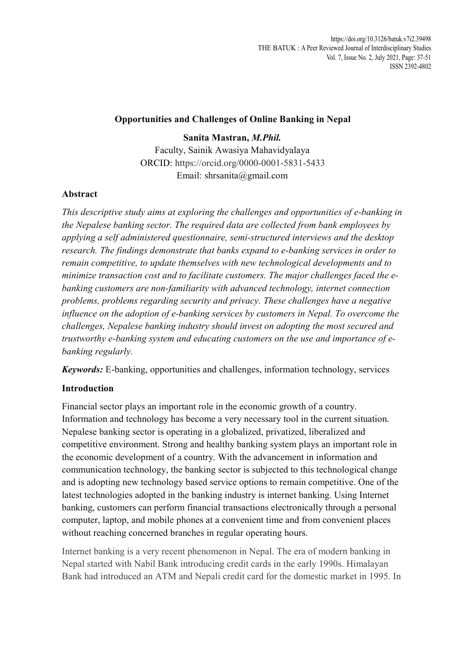## **Opportunities and Challenges of Online Banking in Nepal**

**Sanita Mastran,** *M.Phil.* Faculty, Sainik Awasiya Mahavidyalaya ORCID: https://orcid.org/0000-0001-5831-5433 Email: shrsanita@gmail.com

# **Abstract**

*This descriptive study aims at exploring the challenges and opportunities of e-banking in the Nepalese banking sector. The required data are collected from bank employees by applying a self administered questionnaire, semi-structured interviews and the desktop research. The findings demonstrate that banks expand to e-banking services in order to remain competitive, to update themselves with new technological developments and to minimize transaction cost and to facilitate customers. The major challenges faced the ebanking customers are non-familiarity with advanced technology, internet connection problems, problems regarding security and privacy. These challenges have a negative influence on the adoption of e-banking services by customers in Nepal. To overcome the challenges, Nepalese banking industry should invest on adopting the most secured and trustworthy e-banking system and educating customers on the use and importance of ebanking regularly.*

*Keywords:* E-banking, opportunities and challenges, information technology, services

# **Introduction**

Financial sector plays an important role in the economic growth of a country. Information and technology has become a very necessary tool in the current situation. Nepalese banking sector is operating in a globalized, privatized, liberalized and competitive environment. Strong and healthy banking system plays an important role in the economic development of a country. With the advancement in information and communication technology, the banking sector is subjected to this technological change and is adopting new technology based service options to remain competitive. One of the latest technologies adopted in the banking industry is internet banking. Using Internet banking, customers can perform financial transactions electronically through a personal computer, laptop, and mobile phones at a convenient time and from convenient places without reaching concerned branches in regular operating hours.

Internet banking is a very recent phenomenon in Nepal. The era of modern banking in Nepal started with Nabil Bank introducing credit cards in the early 1990s. Himalayan Bank had introduced an ATM and Nepali credit card for the domestic market in 1995. In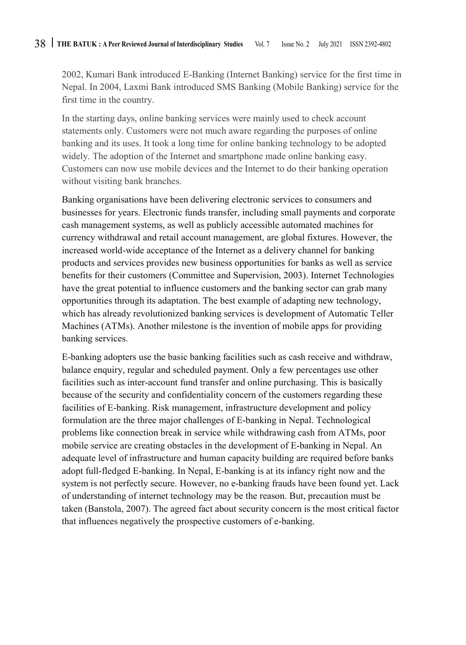2002, Kumari Bank introduced E-Banking (Internet Banking) service for the first time in Nepal. In 2004, Laxmi Bank introduced SMS Banking (Mobile Banking) service for the first time in the country.

In the starting days, online banking services were mainly used to check account statements only. Customers were not much aware regarding the purposes of online banking and its uses. It took a long time for online banking technology to be adopted widely. The adoption of the Internet and smartphone made online banking easy. Customers can now use mobile devices and the Internet to do their banking operation without visiting bank branches.

Banking organisations have been delivering electronic services to consumers and businesses for years. Electronic funds transfer, including small payments and corporate cash management systems, as well as publicly accessible automated machines for currency withdrawal and retail account management, are global fixtures. However, the increased world-wide acceptance of the Internet as a delivery channel for banking products and services provides new business opportunities for banks as well as service benefits for their customers (Committee and Supervision, 2003). Internet Technologies have the great potential to influence customers and the banking sector can grab many opportunities through its adaptation. The best example of adapting new technology, which has already revolutionized banking services is development of Automatic Teller Machines (ATMs). Another milestone is the invention of mobile apps for providing banking services.

E-banking adopters use the basic banking facilities such as cash receive and withdraw, balance enquiry, regular and scheduled payment. Only a few percentages use other facilities such as inter-account fund transfer and online purchasing. This is basically because of the security and confidentiality concern of the customers regarding these facilities of E-banking. Risk management, infrastructure development and policy formulation are the three major challenges of E-banking in Nepal. Technological problems like connection break in service while withdrawing cash from ATMs, poor mobile service are creating obstacles in the development of E-banking in Nepal. An adequate level of infrastructure and human capacity building are required before banks adopt full-fledged E-banking. In Nepal, E-banking is at its infancy right now and the system is not perfectly secure. However, no e-banking frauds have been found yet. Lack of understanding of internet technology may be the reason. But, precaution must be taken (Banstola, 2007). The agreed fact about security concern is the most critical factor that influences negatively the prospective customers of e-banking.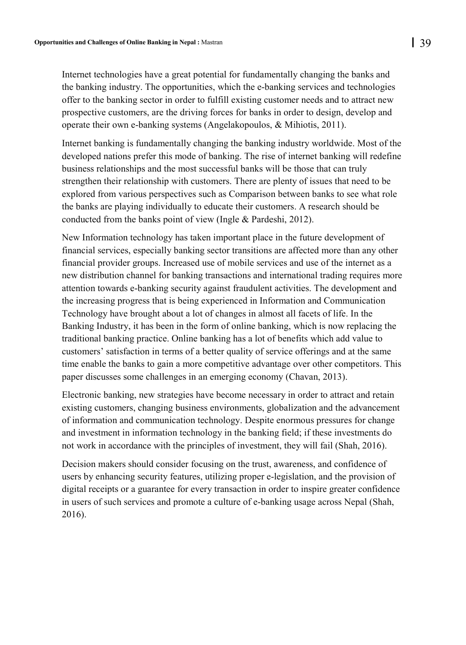Internet technologies have a great potential for fundamentally changing the banks and the banking industry. The opportunities, which the e-banking services and technologies offer to the banking sector in order to fulfill existing customer needs and to attract new prospective customers, are the driving forces for banks in order to design, develop and operate their own e-banking systems (Angelakopoulos, & Mihiotis, 2011).

Internet banking is fundamentally changing the banking industry worldwide. Most of the developed nations prefer this mode of banking. The rise of internet banking will redefine business relationships and the most successful banks will be those that can truly strengthen their relationship with customers. There are plenty of issues that need to be explored from various perspectives such as Comparison between banks to see what role the banks are playing individually to educate their customers. A research should be conducted from the banks point of view (Ingle & Pardeshi, 2012).

New Information technology has taken important place in the future development of financial services, especially banking sector transitions are affected more than any other financial provider groups. Increased use of mobile services and use of the internet as a new distribution channel for banking transactions and international trading requires more attention towards e-banking security against fraudulent activities. The development and the increasing progress that is being experienced in Information and Communication Technology have brought about a lot of changes in almost all facets of life. In the Banking Industry, it has been in the form of online banking, which is now replacing the traditional banking practice. Online banking has a lot of benefits which add value to customers' satisfaction in terms of a better quality of service offerings and at the same time enable the banks to gain a more competitive advantage over other competitors. This paper discusses some challenges in an emerging economy (Chavan, 2013).

Electronic banking, new strategies have become necessary in order to attract and retain existing customers, changing business environments, globalization and the advancement of information and communication technology. Despite enormous pressures for change and investment in information technology in the banking field; if these investments do not work in accordance with the principles of investment, they will fail (Shah, 2016).

Decision makers should consider focusing on the trust, awareness, and confidence of users by enhancing security features, utilizing proper e-legislation, and the provision of digital receipts or a guarantee for every transaction in order to inspire greater confidence in users of such services and promote a culture of e-banking usage across Nepal (Shah, 2016).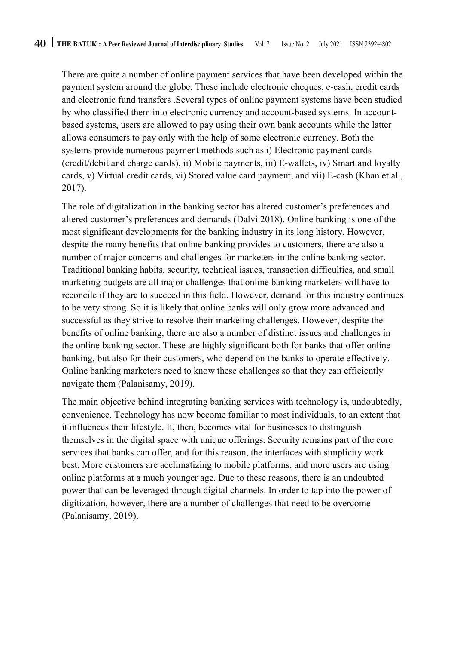There are quite a number of online payment services that have been developed within the payment system around the globe. These include electronic cheques, e-cash, credit cards and electronic fund transfers .Several types of online payment systems have been studied by who classified them into electronic currency and account-based systems. In accountbased systems, users are allowed to pay using their own bank accounts while the latter allows consumers to pay only with the help of some electronic currency. Both the systems provide numerous payment methods such as i) Electronic payment cards (credit/debit and charge cards), ii) Mobile payments, iii) E-wallets, iv) Smart and loyalty cards, v) Virtual credit cards, vi) Stored value card payment, and vii) E-cash (Khan et al., 2017).

The role of digitalization in the banking sector has altered customer's preferences and altered customer's preferences and demands (Dalvi 2018). Online banking is one of the most significant developments for the banking industry in its long history. However, despite the many benefits that online banking provides to customers, there are also a number of major concerns and challenges for marketers in the online banking sector. Traditional banking habits, security, technical issues, transaction difficulties, and small marketing budgets are all major challenges that online banking marketers will have to reconcile if they are to succeed in this field. However, demand for this industry continues to be very strong. So it is likely that online banks will only grow more advanced and successful as they strive to resolve their marketing challenges. However, despite the benefits of online banking, there are also a number of distinct issues and challenges in the online banking sector. These are highly significant both for banks that offer online banking, but also for their customers, who depend on the banks to operate effectively. Online banking marketers need to know these challenges so that they can efficiently navigate them (Palanisamy, 2019).

The main objective behind integrating banking services with technology is, undoubtedly, convenience. Technology has now become familiar to most individuals, to an extent that it influences their lifestyle. It, then, becomes vital for businesses to distinguish themselves in the digital space with unique offerings. Security remains part of the core services that banks can offer, and for this reason, the interfaces with simplicity work best. More customers are acclimatizing to mobile platforms, and more users are using online platforms at a much younger age. Due to these reasons, there is an undoubted power that can be leveraged through digital channels. In order to tap into the power of digitization, however, there are a number of challenges that need to be overcome (Palanisamy, 2019).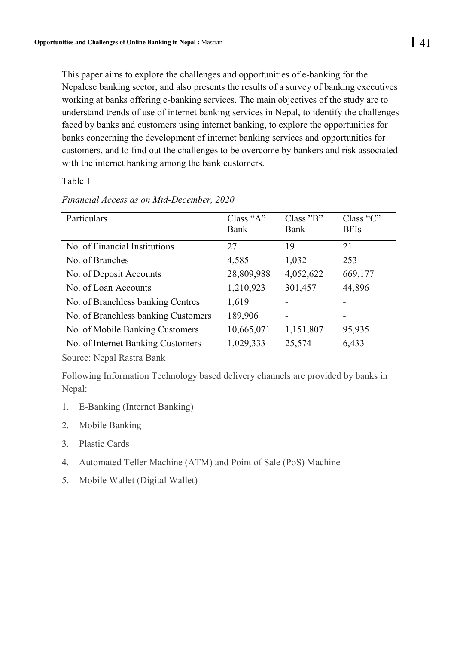This paper aims to explore the challenges and opportunities of e-banking for the Nepalese banking sector, and also presents the results of a survey of banking executives working at banks offering e-banking services. The main objectives of the study are to understand trends of use of internet banking services in Nepal, to identify the challenges faced by banks and customers using internet banking, to explore the opportunities for banks concerning the development of internet banking services and opportunities for customers, and to find out the challenges to be overcome by bankers and risk associated with the internet banking among the bank customers.

Table 1

| <b>Particulars</b>                  | Class " $A$ " | Class 'B' | Class "C"   |
|-------------------------------------|---------------|-----------|-------------|
|                                     | <b>Bank</b>   | Bank      | <b>BFIs</b> |
| No. of Financial Institutions       | 27            | 19        | 21          |
| No. of Branches                     | 4,585         | 1,032     | 253         |
| No. of Deposit Accounts             | 28,809,988    | 4,052,622 | 669,177     |
| No. of Loan Accounts                | 1,210,923     | 301,457   | 44,896      |
| No. of Branchless banking Centres   | 1,619         |           |             |
| No. of Branchless banking Customers | 189,906       | ۰         | -           |
| No. of Mobile Banking Customers     | 10,665,071    | 1,151,807 | 95,935      |
| No. of Internet Banking Customers   | 1,029,333     | 25,574    | 6,433       |

*Financial Access as on Mid-December, 2020*

Source: Nepal Rastra Bank

Following Information Technology based delivery channels are provided by banks in Nepal:

- 1. E-Banking (Internet Banking)
- 2. Mobile Banking
- 3. Plastic Cards
- 4. Automated Teller Machine (ATM) and Point of Sale (PoS) Machine
- 5. Mobile Wallet (Digital Wallet)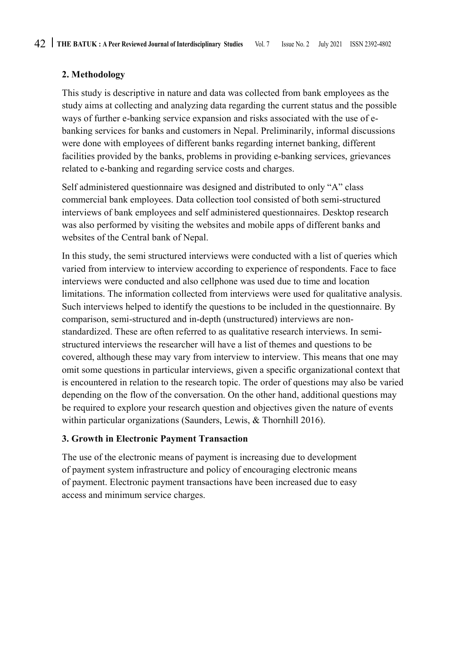# **2. Methodology**

This study is descriptive in nature and data was collected from bank employees as the study aims at collecting and analyzing data regarding the current status and the possible ways of further e-banking service expansion and risks associated with the use of ebanking services for banks and customers in Nepal. Preliminarily, informal discussions were done with employees of different banks regarding internet banking, different facilities provided by the banks, problems in providing e-banking services, grievances related to e-banking and regarding service costs and charges.

Self administered questionnaire was designed and distributed to only "A" class commercial bank employees. Data collection tool consisted of both semi-structured interviews of bank employees and self administered questionnaires. Desktop research was also performed by visiting the websites and mobile apps of different banks and websites of the Central bank of Nepal.

In this study, the semi structured interviews were conducted with a list of queries which varied from interview to interview according to experience of respondents. Face to face interviews were conducted and also cellphone was used due to time and location limitations. The information collected from interviews were used for qualitative analysis. Such interviews helped to identify the questions to be included in the questionnaire. By comparison, semi-structured and in-depth (unstructured) interviews are nonstandardized. These are often referred to as qualitative research interviews. In semistructured interviews the researcher will have a list of themes and questions to be covered, although these may vary from interview to interview. This means that one may omit some questions in particular interviews, given a specific organizational context that is encountered in relation to the research topic. The order of questions may also be varied depending on the flow of the conversation. On the other hand, additional questions may be required to explore your research question and objectives given the nature of events within particular organizations (Saunders, Lewis, & Thornhill 2016).

# **3. Growth in Electronic Payment Transaction**

The use of the electronic means of payment is increasing due to development of payment system infrastructure and policy of encouraging electronic means of payment. Electronic payment transactions have been increased due to easy access and minimum service charges.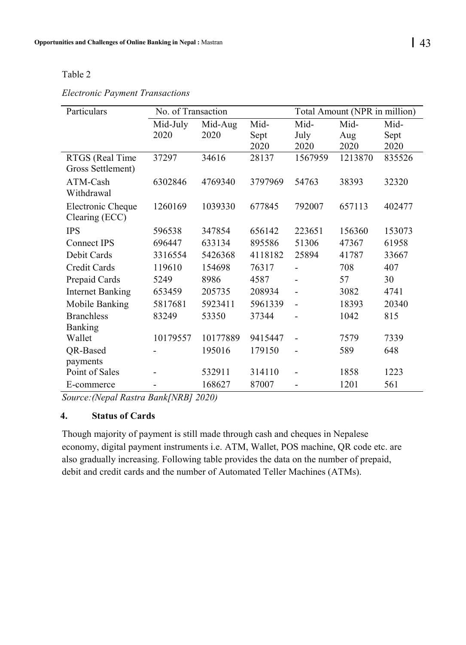### Table 2

## *Electronic Payment Transactions*

| Particulars             | No. of Transaction |          |         | Total Amount (NPR in million) |         |        |
|-------------------------|--------------------|----------|---------|-------------------------------|---------|--------|
|                         | Mid-July           | Mid-Aug  | Mid-    | Mid-                          | Mid-    | Mid-   |
|                         | 2020               | 2020     | Sept    | July                          | Aug     | Sept   |
|                         |                    |          | 2020    | 2020                          | 2020    | 2020   |
| RTGS (Real Time         | 37297              | 34616    | 28137   | 1567959                       | 1213870 | 835526 |
| Gross Settlement)       |                    |          |         |                               |         |        |
| ATM-Cash                | 6302846            | 4769340  | 3797969 | 54763                         | 38393   | 32320  |
| Withdrawal              |                    |          |         |                               |         |        |
| Electronic Cheque       | 1260169            | 1039330  | 677845  | 792007                        | 657113  | 402477 |
| Clearing (ECC)          |                    |          |         |                               |         |        |
| <b>IPS</b>              | 596538             | 347854   | 656142  | 223651                        | 156360  | 153073 |
| Connect IPS             | 696447             | 633134   | 895586  | 51306                         | 47367   | 61958  |
| Debit Cards             | 3316554            | 5426368  | 4118182 | 25894                         | 41787   | 33667  |
| Credit Cards            | 119610             | 154698   | 76317   |                               | 708     | 407    |
| Prepaid Cards           | 5249               | 8986     | 4587    |                               | 57      | 30     |
| <b>Internet Banking</b> | 653459             | 205735   | 208934  |                               | 3082    | 4741   |
| Mobile Banking          | 5817681            | 5923411  | 5961339 | $\overline{a}$                | 18393   | 20340  |
| <b>Branchless</b>       | 83249              | 53350    | 37344   |                               | 1042    | 815    |
| Banking                 |                    |          |         |                               |         |        |
| Wallet                  | 10179557           | 10177889 | 9415447 |                               | 7579    | 7339   |
| QR-Based                |                    | 195016   | 179150  |                               | 589     | 648    |
| payments                |                    |          |         |                               |         |        |
| Point of Sales          |                    | 532911   | 314110  |                               | 1858    | 1223   |
| E-commerce              |                    | 168627   | 87007   |                               | 1201    | 561    |

*Source:(Nepal Rastra Bank[NRB] 2020)*

## **4. Status of Cards**

Though majority of payment is still made through cash and cheques in Nepalese economy, digital payment instruments i.e. ATM, Wallet, POS machine, QR code etc. are also gradually increasing. Following table provides the data on the number of prepaid, debit and credit cards and the number of Automated Teller Machines (ATMs).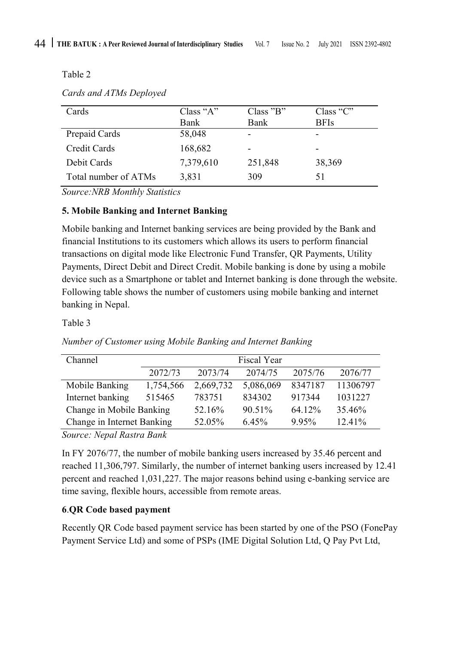Table 2

*Cards and ATMs Deployed*

| Cards                | Class " $A$ " | Class 'B'   | Class " $C$ " |
|----------------------|---------------|-------------|---------------|
|                      | Bank          | <b>Bank</b> | <b>BFIs</b>   |
| Prepaid Cards        | 58,048        |             |               |
| Credit Cards         | 168,682       |             |               |
| Debit Cards          | 7,379,610     | 251,848     | 38,369        |
| Total number of ATMs | 3,831         | 309         |               |

*Source:NRB Monthly Statistics*

## **5. Mobile Banking and Internet Banking**

Mobile banking and Internet banking services are being provided by the Bank and financial Institutions to its customers which allows its users to perform financial transactions on digital mode like Electronic Fund Transfer, QR Payments, Utility Payments, Direct Debit and Direct Credit. Mobile banking is done by using a mobile device such as a Smartphone or tablet and Internet banking is done through the website. Following table shows the number of customers using mobile banking and internet banking in Nepal.

## Table 3

| Channel                    | Fiscal Year |           |           |         |           |
|----------------------------|-------------|-----------|-----------|---------|-----------|
|                            | 2072/73     | 2073/74   | 2074/75   | 2075/76 | 2076/77   |
| Mobile Banking             | 1,754,566   | 2.669.732 | 5,086,069 | 8347187 | 11306797  |
| Internet banking           | 515465      | 783751    | 834302    | 917344  | 1031227   |
| Change in Mobile Banking   |             | 52.16%    | 90.51%    | 64.12%  | 35.46%    |
| Change in Internet Banking |             | 52.05%    | 6.45%     | 9.95%   | $12.41\%$ |

*Number of Customer using Mobile Banking and Internet Banking*

*Source: Nepal Rastra Bank*

In FY 2076/77, the number of mobile banking users increased by 35.46 percent and reached 11,306,797. Similarly, the number of internet banking users increased by 12.41 percent and reached 1,031,227. The major reasons behind using e-banking service are time saving, flexible hours, accessible from remote areas.

# **6**.**QR Code based payment**

Recently QR Code based payment service has been started by one of the PSO (FonePay Payment Service Ltd) and some of PSPs (IME Digital Solution Ltd, Q Pay Pvt Ltd,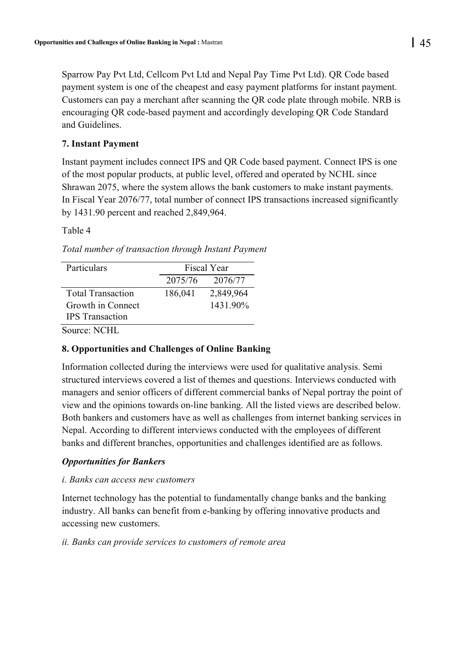Sparrow Pay Pvt Ltd, Cellcom Pvt Ltd and Nepal Pay Time Pvt Ltd). QR Code based payment system is one of the cheapest and easy payment platforms for instant payment. Customers can pay a merchant after scanning the QR code plate through mobile. NRB is encouraging QR code-based payment and accordingly developing QR Code Standard and Guidelines.

### **7. Instant Payment**

Instant payment includes connect IPS and QR Code based payment. Connect IPS is one of the most popular products, at public level, offered and operated by NCHL since Shrawan 2075, where the system allows the bank customers to make instant payments. In Fiscal Year 2076/77, total number of connect IPS transactions increased significantly by 1431.90 percent and reached 2,849,964.

Table 4

*Total number of transaction through Instant Payment*

| Particulars              |         | Fiscal Year |  |  |
|--------------------------|---------|-------------|--|--|
|                          | 2075/76 | 2076/77     |  |  |
| <b>Total Transaction</b> | 186,041 | 2,849,964   |  |  |
| Growth in Connect        |         | 1431.90%    |  |  |
| <b>IPS</b> Transaction   |         |             |  |  |

Source: NCHL

## **8. Opportunities and Challenges of Online Banking**

Information collected during the interviews were used for qualitative analysis. Semi structured interviews covered a list of themes and questions. Interviews conducted with managers and senior officers of different commercial banks of Nepal portray the point of view and the opinions towards on-line banking. All the listed views are described below. Both bankers and customers have as well as challenges from internet banking services in Nepal. According to different interviews conducted with the employees of different banks and different branches, opportunities and challenges identified are as follows.

## *Opportunities for Bankers*

#### *i. Banks can access new customers*

Internet technology has the potential to fundamentally change banks and the banking industry. All banks can benefit from e-banking by offering innovative products and accessing new customers.

#### *ii. Banks can provide services to customers of remote area*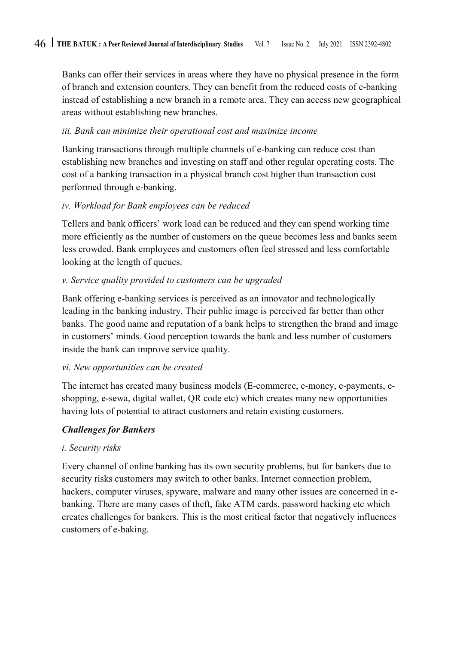Banks can offer their services in areas where they have no physical presence in the form of branch and extension counters. They can benefit from the reduced costs of e-banking instead of establishing a new branch in a remote area. They can access new geographical areas without establishing new branches.

### *iii. Bank can minimize their operational cost and maximize income*

Banking transactions through multiple channels of e-banking can reduce cost than establishing new branches and investing on staff and other regular operating costs. The cost of a banking transaction in a physical branch cost higher than transaction cost performed through e-banking.

## *iv. Workload for Bank employees can be reduced*

Tellers and bank officers' work load can be reduced and they can spend working time more efficiently as the number of customers on the queue becomes less and banks seem less crowded. Bank employees and customers often feel stressed and less comfortable looking at the length of queues.

## *v. Service quality provided to customers can be upgraded*

Bank offering e-banking services is perceived as an innovator and technologically leading in the banking industry. Their public image is perceived far better than other banks. The good name and reputation of a bank helps to strengthen the brand and image in customers' minds. Good perception towards the bank and less number of customers inside the bank can improve service quality.

#### *vi. New opportunities can be created*

The internet has created many business models (E-commerce, e-money, e-payments, eshopping, e-sewa, digital wallet, QR code etc) which creates many new opportunities having lots of potential to attract customers and retain existing customers.

## *Challenges for Bankers*

#### *i. Security risks*

Every channel of online banking has its own security problems, but for bankers due to security risks customers may switch to other banks. Internet connection problem, hackers, computer viruses, spyware, malware and many other issues are concerned in ebanking. There are many cases of theft, fake ATM cards, password hacking etc which creates challenges for bankers. This is the most critical factor that negatively influences customers of e-baking.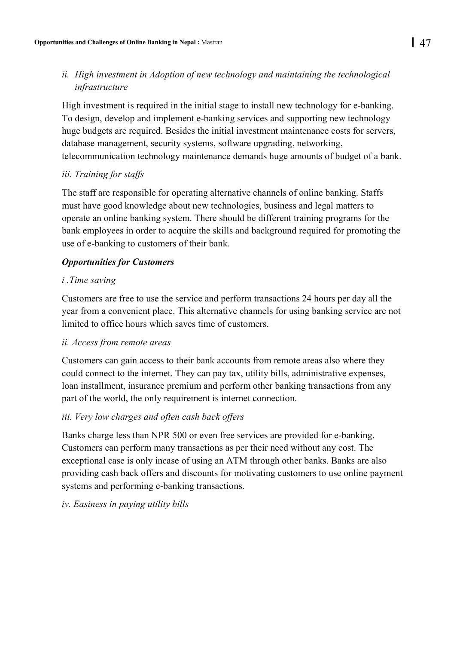# *ii. High investment in Adoption of new technology and maintaining the technological infrastructure*

High investment is required in the initial stage to install new technology for e-banking. To design, develop and implement e-banking services and supporting new technology huge budgets are required. Besides the initial investment maintenance costs for servers, database management, security systems, software upgrading, networking, telecommunication technology maintenance demands huge amounts of budget of a bank.

## *iii. Training for staffs*

The staff are responsible for operating alternative channels of online banking. Staffs must have good knowledge about new technologies, business and legal matters to operate an online banking system. There should be different training programs for the bank employees in order to acquire the skills and background required for promoting the use of e-banking to customers of their bank.

## *Opportunities for Customers*

## *i .Time saving*

Customers are free to use the service and perform transactions 24 hours per day all the year from a convenient place. This alternative channels for using banking service are not limited to office hours which saves time of customers.

## *ii. Access from remote areas*

Customers can gain access to their bank accounts from remote areas also where they could connect to the internet. They can pay tax, utility bills, administrative expenses, loan installment, insurance premium and perform other banking transactions from any part of the world, the only requirement is internet connection.

## *iii. Very low charges and often cash back offers*

Banks charge less than NPR 500 or even free services are provided for e-banking. Customers can perform many transactions as per their need without any cost. The exceptional case is only incase of using an ATM through other banks. Banks are also providing cash back offers and discounts for motivating customers to use online payment systems and performing e-banking transactions.

## *iv. Easiness in paying utility bills*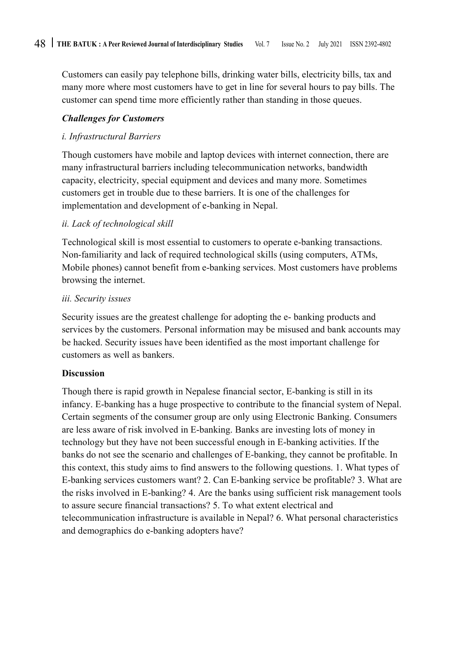Customers can easily pay telephone bills, drinking water bills, electricity bills, tax and many more where most customers have to get in line for several hours to pay bills. The customer can spend time more efficiently rather than standing in those queues.

### *Challenges for Customers*

### *i. Infrastructural Barriers*

Though customers have mobile and laptop devices with internet connection, there are many infrastructural barriers including telecommunication networks, bandwidth capacity, electricity, special equipment and devices and many more. Sometimes customers get in trouble due to these barriers. It is one of the challenges for implementation and development of e-banking in Nepal.

## *ii. Lack of technological skill*

Technological skill is most essential to customers to operate e-banking transactions. Non-familiarity and lack of required technological skills (using computers, ATMs, Mobile phones) cannot benefit from e-banking services. Most customers have problems browsing the internet.

#### *iii. Security issues*

Security issues are the greatest challenge for adopting the e- banking products and services by the customers. Personal information may be misused and bank accounts may be hacked. Security issues have been identified as the most important challenge for customers as well as bankers.

#### **Discussion**

Though there is rapid growth in Nepalese financial sector, E-banking is still in its infancy. E-banking has a huge prospective to contribute to the financial system of Nepal. Certain segments of the consumer group are only using Electronic Banking. Consumers are less aware of risk involved in E-banking. Banks are investing lots of money in technology but they have not been successful enough in E-banking activities. If the banks do not see the scenario and challenges of E-banking, they cannot be profitable. In this context, this study aims to find answers to the following questions. 1. What types of E-banking services customers want? 2. Can E-banking service be profitable? 3. What are the risks involved in E-banking? 4. Are the banks using sufficient risk management tools to assure secure financial transactions? 5. To what extent electrical and telecommunication infrastructure is available in Nepal? 6. What personal characteristics and demographics do e-banking adopters have?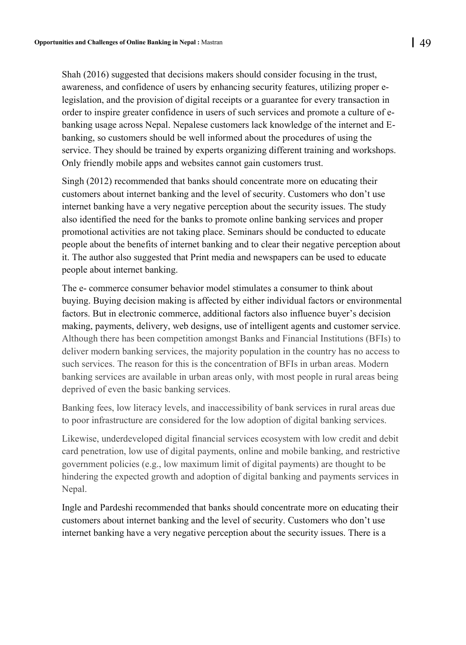Shah (2016) suggested that decisions makers should consider focusing in the trust, awareness, and confidence of users by enhancing security features, utilizing proper elegislation, and the provision of digital receipts or a guarantee for every transaction in order to inspire greater confidence in users of such services and promote a culture of ebanking usage across Nepal. Nepalese customers lack knowledge of the internet and Ebanking, so customers should be well informed about the procedures of using the service. They should be trained by experts organizing different training and workshops. Only friendly mobile apps and websites cannot gain customers trust.

Singh (2012) recommended that banks should concentrate more on educating their customers about internet banking and the level of security. Customers who don't use internet banking have a very negative perception about the security issues. The study also identified the need for the banks to promote online banking services and proper promotional activities are not taking place. Seminars should be conducted to educate people about the benefits of internet banking and to clear their negative perception about it. The author also suggested that Print media and newspapers can be used to educate people about internet banking.

The e- commerce consumer behavior model stimulates a consumer to think about buying. Buying decision making is affected by either individual factors or environmental factors. But in electronic commerce, additional factors also influence buyer's decision making, payments, delivery, web designs, use of intelligent agents and customer service. Although there has been competition amongst Banks and Financial Institutions (BFIs) to deliver modern banking services, the majority population in the country has no access to such services. The reason for this is the concentration of BFIs in urban areas. Modern banking services are available in urban areas only, with most people in rural areas being deprived of even the basic banking services.

Banking fees, low literacy levels, and inaccessibility of bank services in rural areas due to poor infrastructure are considered for the low adoption of digital banking services.

Likewise, underdeveloped digital financial services ecosystem with low credit and debit card penetration, low use of digital payments, online and mobile banking, and restrictive government policies (e.g., low maximum limit of digital payments) are thought to be hindering the expected growth and adoption of digital banking and payments services in Nepal.

Ingle and Pardeshi recommended that banks should concentrate more on educating their customers about internet banking and the level of security. Customers who don't use internet banking have a very negative perception about the security issues. There is a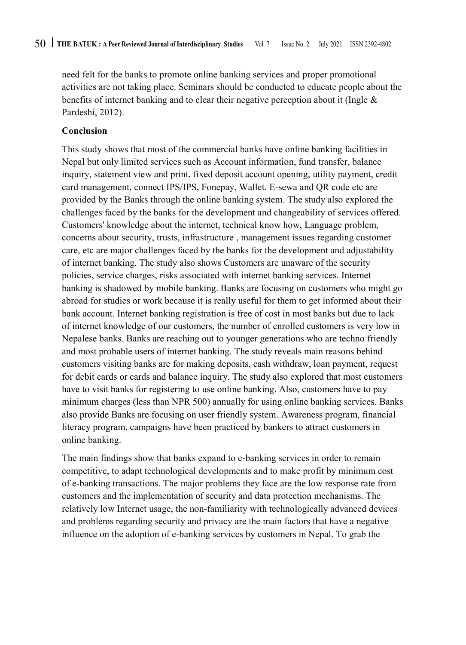need felt for the banks to promote online banking services and proper promotional activities are not taking place. Seminars should be conducted to educate people about the benefits of internet banking and to clear their negative perception about it (Ingle & Pardeshi, 2012).

### **Conclusion**

This study shows that most of the commercial banks have online banking facilities in Nepal but only limited services such as Account information, fund transfer, balance inquiry, statement view and print, fixed deposit account opening, utility payment, credit card management, connect IPS/IPS, Fonepay, Wallet. E-sewa and QR code etc are provided by the Banks through the online banking system. The study also explored the challenges faced by the banks for the development and changeability of services offered. Customers' knowledge about the internet, technical know how, Language problem, concerns about security, trusts, infrastructure , management issues regarding customer care, etc are major challenges faced by the banks for the development and adjustability of internet banking. The study also shows Customers are unaware of the security policies, service charges, risks associated with internet banking services. Internet banking is shadowed by mobile banking. Banks are focusing on customers who might go abroad for studies or work because it is really useful for them to get informed about their bank account. Internet banking registration is free of cost in most banks but due to lack of internet knowledge of our customers, the number of enrolled customers is very low in Nepalese banks. Banks are reaching out to younger generations who are techno friendly and most probable users of internet banking. The study reveals main reasons behind customers visiting banks are for making deposits, cash withdraw, loan payment, request for debit cards or cards and balance inquiry. The study also explored that most customers have to visit banks for registering to use online banking. Also, customers have to pay minimum charges (less than NPR 500) annually for using online banking services. Banks also provide Banks are focusing on user friendly system. Awareness program, financial literacy program, campaigns have been practiced by bankers to attract customers in online banking.

The main findings show that banks expand to e-banking services in order to remain competitive, to adapt technological developments and to make profit by minimum cost of e-banking transactions. The major problems they face are the low response rate from customers and the implementation of security and data protection mechanisms. The relatively low Internet usage, the non-familiarity with technologically advanced devices and problems regarding security and privacy are the main factors that have a negative influence on the adoption of e-banking services by customers in Nepal. To grab the